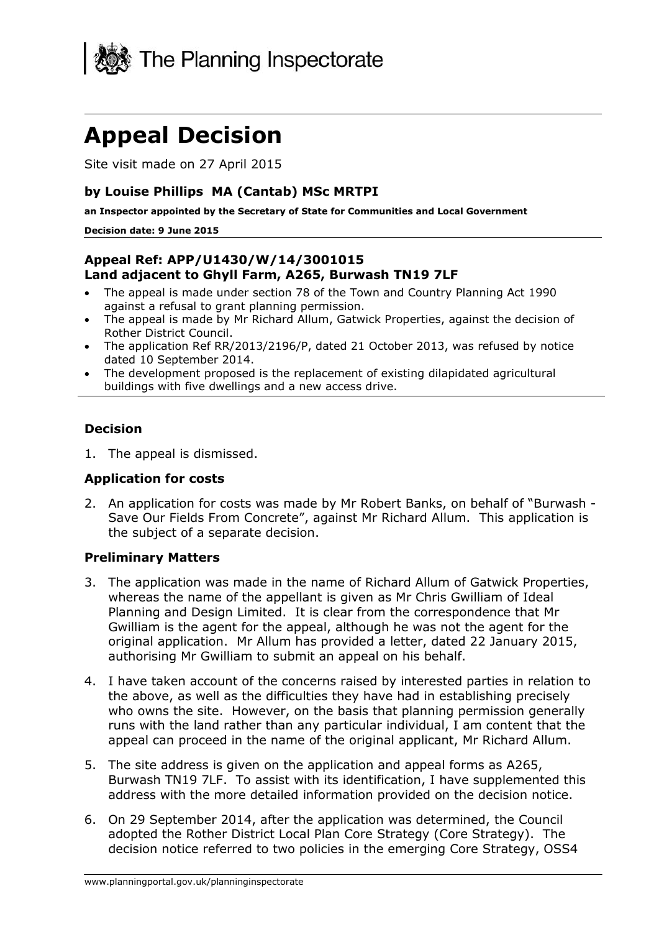

# **Appeal Decision**

Site visit made on 27 April 2015

#### **by Louise Phillips MA (Cantab) MSc MRTPI**

**an Inspector appointed by the Secretary of State for Communities and Local Government**

#### **Decision date: 9 June 2015**

#### **Appeal Ref: APP/U1430/W/14/3001015 Land adjacent to Ghyll Farm, A265, Burwash TN19 7LF**

- The appeal is made under section 78 of the Town and Country Planning Act 1990 against a refusal to grant planning permission.
- The appeal is made by Mr Richard Allum, Gatwick Properties, against the decision of Rother District Council.
- The application Ref RR/2013/2196/P, dated 21 October 2013, was refused by notice dated 10 September 2014.
- The development proposed is the replacement of existing dilapidated agricultural buildings with five dwellings and a new access drive.

#### **Decision**

1. The appeal is dismissed.

#### **Application for costs**

2. An application for costs was made by Mr Robert Banks, on behalf of "Burwash - Save Our Fields From Concrete", against Mr Richard Allum. This application is the subject of a separate decision.

#### **Preliminary Matters**

- 3. The application was made in the name of Richard Allum of Gatwick Properties, whereas the name of the appellant is given as Mr Chris Gwilliam of Ideal Planning and Design Limited. It is clear from the correspondence that Mr Gwilliam is the agent for the appeal, although he was not the agent for the original application. Mr Allum has provided a letter, dated 22 January 2015, authorising Mr Gwilliam to submit an appeal on his behalf.
- 4. I have taken account of the concerns raised by interested parties in relation to the above, as well as the difficulties they have had in establishing precisely who owns the site. However, on the basis that planning permission generally runs with the land rather than any particular individual, I am content that the appeal can proceed in the name of the original applicant, Mr Richard Allum.
- 5. The site address is given on the application and appeal forms as A265, Burwash TN19 7LF. To assist with its identification, I have supplemented this address with the more detailed information provided on the decision notice.
- 6. On 29 September 2014, after the application was determined, the Council adopted the Rother District Local Plan Core Strategy (Core Strategy). The decision notice referred to two policies in the emerging Core Strategy, OSS4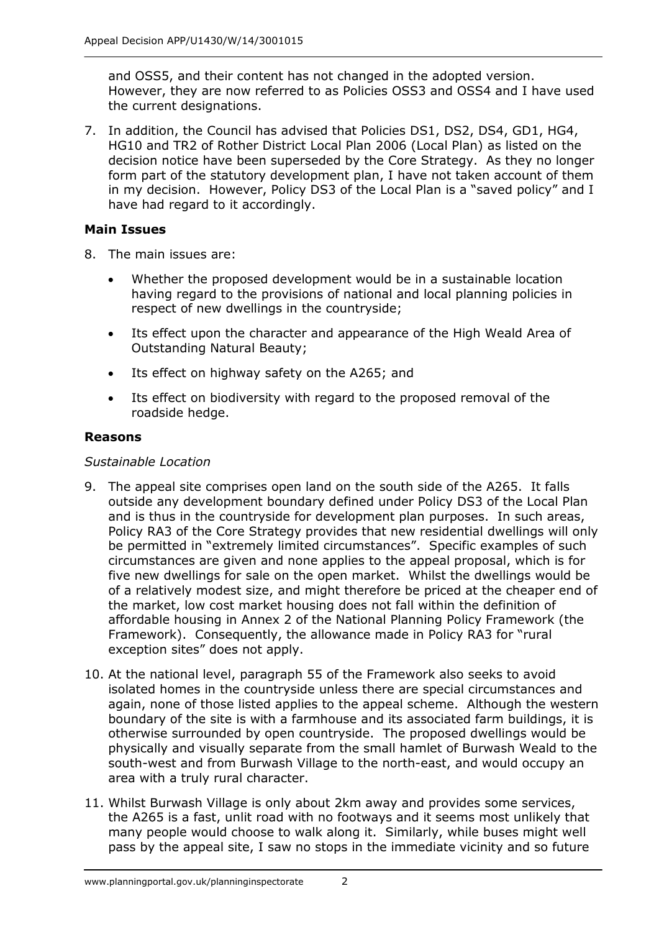and OSS5, and their content has not changed in the adopted version. However, they are now referred to as Policies OSS3 and OSS4 and I have used the current designations.

7. In addition, the Council has advised that Policies DS1, DS2, DS4, GD1, HG4, HG10 and TR2 of Rother District Local Plan 2006 (Local Plan) as listed on the decision notice have been superseded by the Core Strategy. As they no longer form part of the statutory development plan, I have not taken account of them in my decision. However, Policy DS3 of the Local Plan is a "saved policy" and I have had regard to it accordingly.

## **Main Issues**

- 8. The main issues are:
	- Whether the proposed development would be in a sustainable location having regard to the provisions of national and local planning policies in respect of new dwellings in the countryside;
	- Its effect upon the character and appearance of the High Weald Area of Outstanding Natural Beauty;
	- Its effect on highway safety on the A265; and
	- Its effect on biodiversity with regard to the proposed removal of the roadside hedge.

## **Reasons**

## *Sustainable Location*

- 9. The appeal site comprises open land on the south side of the A265. It falls outside any development boundary defined under Policy DS3 of the Local Plan and is thus in the countryside for development plan purposes. In such areas, Policy RA3 of the Core Strategy provides that new residential dwellings will only be permitted in "extremely limited circumstances". Specific examples of such circumstances are given and none applies to the appeal proposal, which is for five new dwellings for sale on the open market. Whilst the dwellings would be of a relatively modest size, and might therefore be priced at the cheaper end of the market, low cost market housing does not fall within the definition of affordable housing in Annex 2 of the National Planning Policy Framework (the Framework). Consequently, the allowance made in Policy RA3 for "rural exception sites" does not apply.
- 10. At the national level, paragraph 55 of the Framework also seeks to avoid isolated homes in the countryside unless there are special circumstances and again, none of those listed applies to the appeal scheme. Although the western boundary of the site is with a farmhouse and its associated farm buildings, it is otherwise surrounded by open countryside. The proposed dwellings would be physically and visually separate from the small hamlet of Burwash Weald to the south-west and from Burwash Village to the north-east, and would occupy an area with a truly rural character.
- 11. Whilst Burwash Village is only about 2km away and provides some services, the A265 is a fast, unlit road with no footways and it seems most unlikely that many people would choose to walk along it. Similarly, while buses might well pass by the appeal site, I saw no stops in the immediate vicinity and so future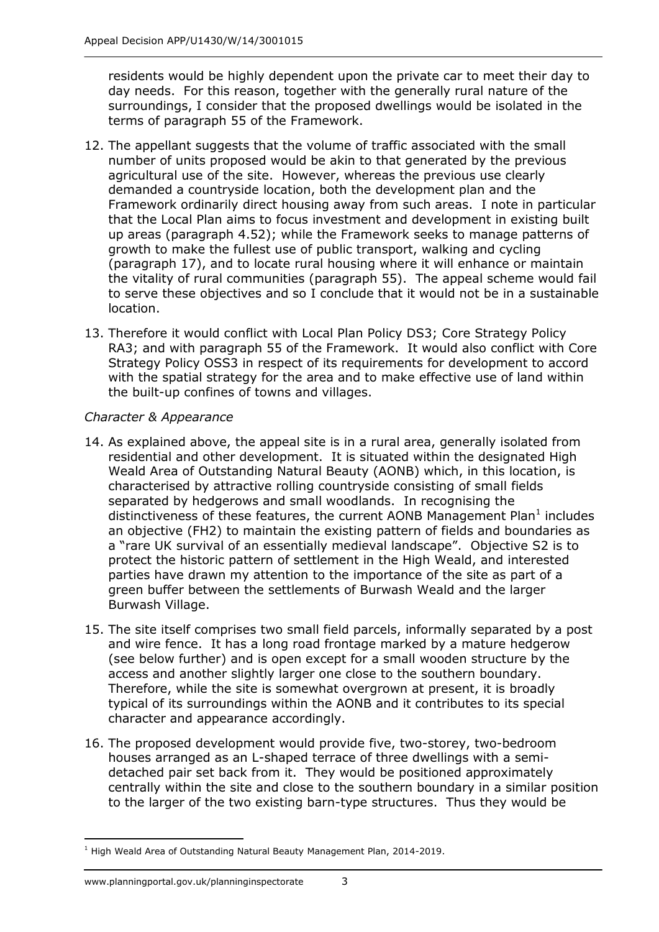residents would be highly dependent upon the private car to meet their day to day needs. For this reason, together with the generally rural nature of the surroundings, I consider that the proposed dwellings would be isolated in the terms of paragraph 55 of the Framework.

- 12. The appellant suggests that the volume of traffic associated with the small number of units proposed would be akin to that generated by the previous agricultural use of the site. However, whereas the previous use clearly demanded a countryside location, both the development plan and the Framework ordinarily direct housing away from such areas. I note in particular that the Local Plan aims to focus investment and development in existing built up areas (paragraph 4.52); while the Framework seeks to manage patterns of growth to make the fullest use of public transport, walking and cycling (paragraph 17), and to locate rural housing where it will enhance or maintain the vitality of rural communities (paragraph 55). The appeal scheme would fail to serve these objectives and so I conclude that it would not be in a sustainable location.
- 13. Therefore it would conflict with Local Plan Policy DS3; Core Strategy Policy RA3; and with paragraph 55 of the Framework. It would also conflict with Core Strategy Policy OSS3 in respect of its requirements for development to accord with the spatial strategy for the area and to make effective use of land within the built-up confines of towns and villages.

#### *Character & Appearance*

- 14. As explained above, the appeal site is in a rural area, generally isolated from residential and other development. It is situated within the designated High Weald Area of Outstanding Natural Beauty (AONB) which, in this location, is characterised by attractive rolling countryside consisting of small fields separated by hedgerows and small woodlands. In recognising the distinctiveness of these features, the current AONB Management Plan $^1$  includes an objective (FH2) to maintain the existing pattern of fields and boundaries as a "rare UK survival of an essentially medieval landscape". Objective S2 is to protect the historic pattern of settlement in the High Weald, and interested parties have drawn my attention to the importance of the site as part of a green buffer between the settlements of Burwash Weald and the larger Burwash Village.
- 15. The site itself comprises two small field parcels, informally separated by a post and wire fence. It has a long road frontage marked by a mature hedgerow (see below further) and is open except for a small wooden structure by the access and another slightly larger one close to the southern boundary. Therefore, while the site is somewhat overgrown at present, it is broadly typical of its surroundings within the AONB and it contributes to its special character and appearance accordingly.
- 16. The proposed development would provide five, two-storey, two-bedroom houses arranged as an L-shaped terrace of three dwellings with a semidetached pair set back from it. They would be positioned approximately centrally within the site and close to the southern boundary in a similar position to the larger of the two existing barn-type structures. Thus they would be

<sup>-</sup><sup>1</sup> High Weald Area of Outstanding Natural Beauty Management Plan, 2014-2019.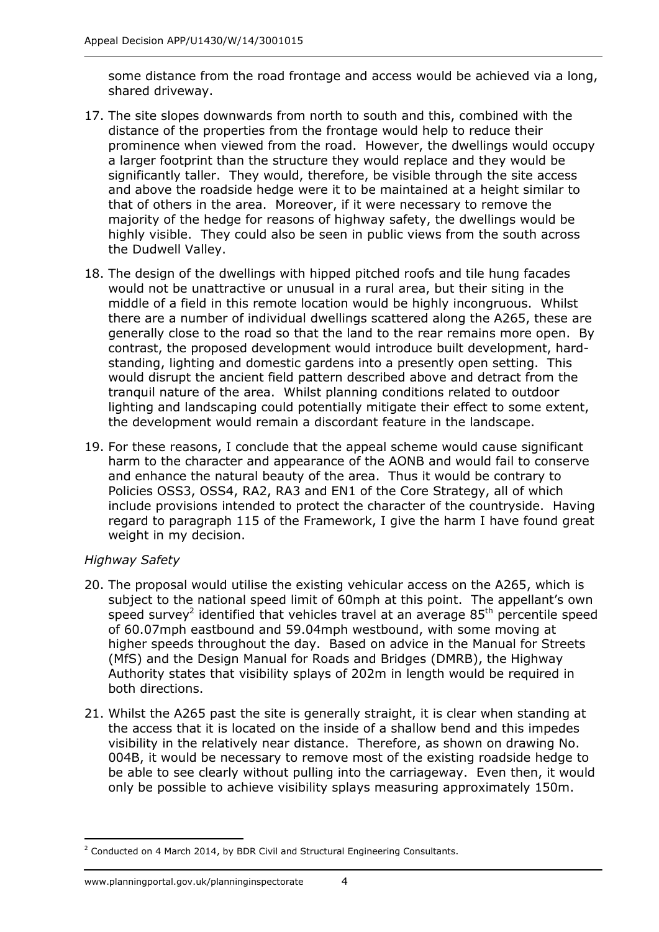some distance from the road frontage and access would be achieved via a long, shared driveway.

- 17. The site slopes downwards from north to south and this, combined with the distance of the properties from the frontage would help to reduce their prominence when viewed from the road. However, the dwellings would occupy a larger footprint than the structure they would replace and they would be significantly taller. They would, therefore, be visible through the site access and above the roadside hedge were it to be maintained at a height similar to that of others in the area. Moreover, if it were necessary to remove the majority of the hedge for reasons of highway safety, the dwellings would be highly visible. They could also be seen in public views from the south across the Dudwell Valley.
- 18. The design of the dwellings with hipped pitched roofs and tile hung facades would not be unattractive or unusual in a rural area, but their siting in the middle of a field in this remote location would be highly incongruous. Whilst there are a number of individual dwellings scattered along the A265, these are generally close to the road so that the land to the rear remains more open. By contrast, the proposed development would introduce built development, hardstanding, lighting and domestic gardens into a presently open setting. This would disrupt the ancient field pattern described above and detract from the tranquil nature of the area. Whilst planning conditions related to outdoor lighting and landscaping could potentially mitigate their effect to some extent, the development would remain a discordant feature in the landscape.
- 19. For these reasons, I conclude that the appeal scheme would cause significant harm to the character and appearance of the AONB and would fail to conserve and enhance the natural beauty of the area. Thus it would be contrary to Policies OSS3, OSS4, RA2, RA3 and EN1 of the Core Strategy, all of which include provisions intended to protect the character of the countryside. Having regard to paragraph 115 of the Framework, I give the harm I have found great weight in my decision.

#### *Highway Safety*

- 20. The proposal would utilise the existing vehicular access on the A265, which is subject to the national speed limit of 60mph at this point. The appellant's own speed survey<sup>2</sup> identified that vehicles travel at an average  $85<sup>th</sup>$  percentile speed of 60.07mph eastbound and 59.04mph westbound, with some moving at higher speeds throughout the day. Based on advice in the Manual for Streets (MfS) and the Design Manual for Roads and Bridges (DMRB), the Highway Authority states that visibility splays of 202m in length would be required in both directions.
- 21. Whilst the A265 past the site is generally straight, it is clear when standing at the access that it is located on the inside of a shallow bend and this impedes visibility in the relatively near distance. Therefore, as shown on drawing No. 004B, it would be necessary to remove most of the existing roadside hedge to be able to see clearly without pulling into the carriageway. Even then, it would only be possible to achieve visibility splays measuring approximately 150m.

<sup>-</sup><sup>2</sup> Conducted on 4 March 2014, by BDR Civil and Structural Engineering Consultants.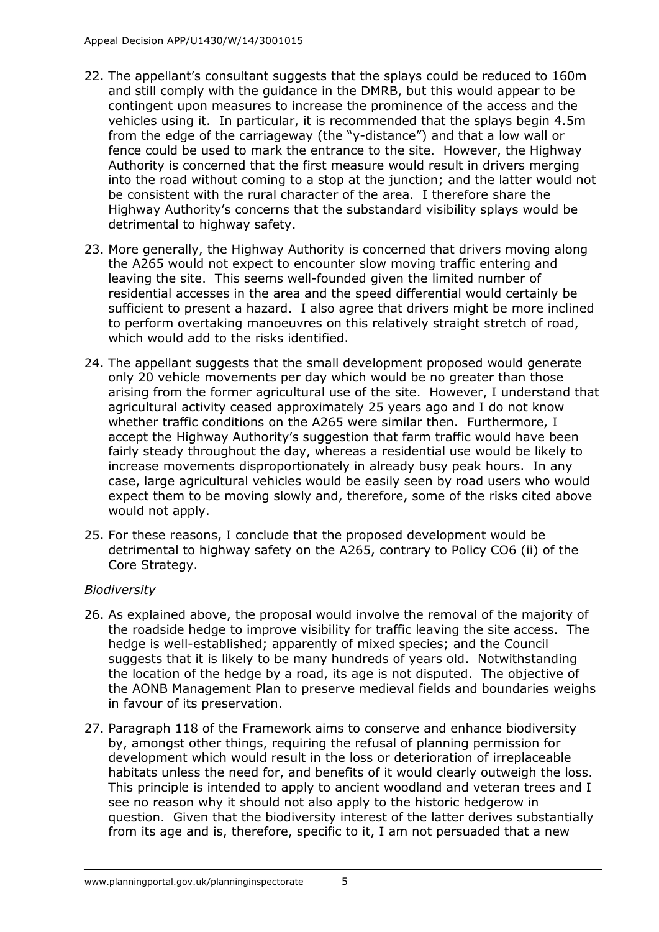- 22. The appellant's consultant suggests that the splays could be reduced to 160m and still comply with the guidance in the DMRB, but this would appear to be contingent upon measures to increase the prominence of the access and the vehicles using it. In particular, it is recommended that the splays begin 4.5m from the edge of the carriageway (the "y-distance") and that a low wall or fence could be used to mark the entrance to the site. However, the Highway Authority is concerned that the first measure would result in drivers merging into the road without coming to a stop at the junction; and the latter would not be consistent with the rural character of the area. I therefore share the Highway Authority's concerns that the substandard visibility splays would be detrimental to highway safety.
- 23. More generally, the Highway Authority is concerned that drivers moving along the A265 would not expect to encounter slow moving traffic entering and leaving the site. This seems well-founded given the limited number of residential accesses in the area and the speed differential would certainly be sufficient to present a hazard. I also agree that drivers might be more inclined to perform overtaking manoeuvres on this relatively straight stretch of road, which would add to the risks identified.
- 24. The appellant suggests that the small development proposed would generate only 20 vehicle movements per day which would be no greater than those arising from the former agricultural use of the site. However, I understand that agricultural activity ceased approximately 25 years ago and I do not know whether traffic conditions on the A265 were similar then. Furthermore, I accept the Highway Authority's suggestion that farm traffic would have been fairly steady throughout the day, whereas a residential use would be likely to increase movements disproportionately in already busy peak hours. In any case, large agricultural vehicles would be easily seen by road users who would expect them to be moving slowly and, therefore, some of the risks cited above would not apply.
- 25. For these reasons, I conclude that the proposed development would be detrimental to highway safety on the A265, contrary to Policy CO6 (ii) of the Core Strategy.

## *Biodiversity*

- 26. As explained above, the proposal would involve the removal of the majority of the roadside hedge to improve visibility for traffic leaving the site access. The hedge is well-established; apparently of mixed species; and the Council suggests that it is likely to be many hundreds of years old. Notwithstanding the location of the hedge by a road, its age is not disputed. The objective of the AONB Management Plan to preserve medieval fields and boundaries weighs in favour of its preservation.
- 27. Paragraph 118 of the Framework aims to conserve and enhance biodiversity by, amongst other things, requiring the refusal of planning permission for development which would result in the loss or deterioration of irreplaceable habitats unless the need for, and benefits of it would clearly outweigh the loss. This principle is intended to apply to ancient woodland and veteran trees and I see no reason why it should not also apply to the historic hedgerow in question. Given that the biodiversity interest of the latter derives substantially from its age and is, therefore, specific to it, I am not persuaded that a new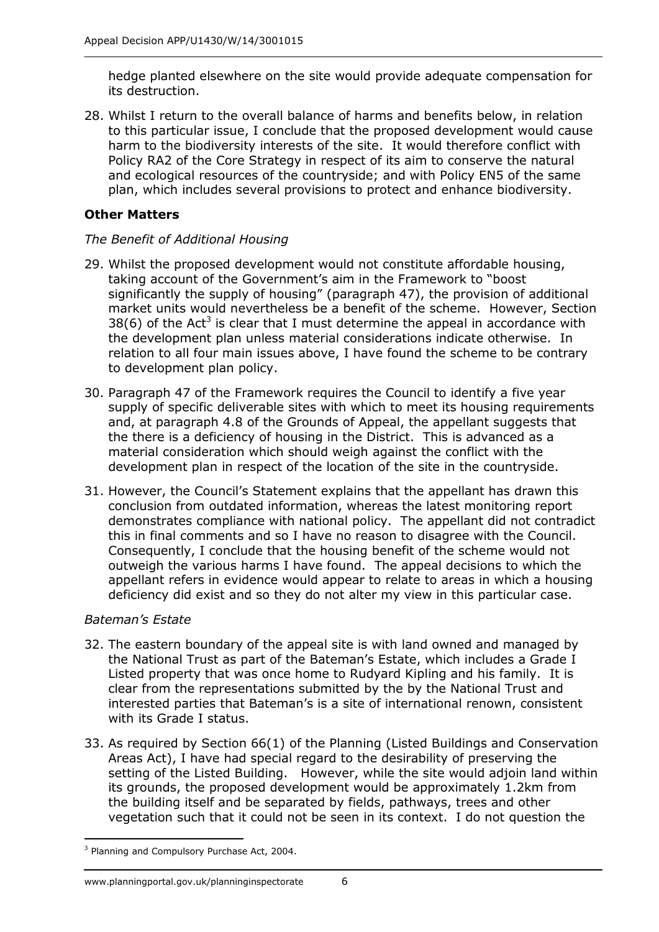hedge planted elsewhere on the site would provide adequate compensation for its destruction.

28. Whilst I return to the overall balance of harms and benefits below, in relation to this particular issue, I conclude that the proposed development would cause harm to the biodiversity interests of the site. It would therefore conflict with Policy RA2 of the Core Strategy in respect of its aim to conserve the natural and ecological resources of the countryside; and with Policy EN5 of the same plan, which includes several provisions to protect and enhance biodiversity.

## **Other Matters**

#### *The Benefit of Additional Housing*

- 29. Whilst the proposed development would not constitute affordable housing, taking account of the Government's aim in the Framework to "boost significantly the supply of housing" (paragraph 47), the provision of additional market units would nevertheless be a benefit of the scheme. However, Section 38(6) of the Act<sup>3</sup> is clear that I must determine the appeal in accordance with the development plan unless material considerations indicate otherwise. In relation to all four main issues above, I have found the scheme to be contrary to development plan policy.
- 30. Paragraph 47 of the Framework requires the Council to identify a five year supply of specific deliverable sites with which to meet its housing requirements and, at paragraph 4.8 of the Grounds of Appeal, the appellant suggests that the there is a deficiency of housing in the District. This is advanced as a material consideration which should weigh against the conflict with the development plan in respect of the location of the site in the countryside.
- 31. However, the Council's Statement explains that the appellant has drawn this conclusion from outdated information, whereas the latest monitoring report demonstrates compliance with national policy. The appellant did not contradict this in final comments and so I have no reason to disagree with the Council. Consequently, I conclude that the housing benefit of the scheme would not outweigh the various harms I have found. The appeal decisions to which the appellant refers in evidence would appear to relate to areas in which a housing deficiency did exist and so they do not alter my view in this particular case.

#### *Bateman's Estate*

- 32. The eastern boundary of the appeal site is with land owned and managed by the National Trust as part of the Bateman's Estate, which includes a Grade I Listed property that was once home to Rudyard Kipling and his family. It is clear from the representations submitted by the by the National Trust and interested parties that Bateman's is a site of international renown, consistent with its Grade I status.
- 33. As required by Section 66(1) of the Planning (Listed Buildings and Conservation Areas Act), I have had special regard to the desirability of preserving the setting of the Listed Building. However, while the site would adjoin land within its grounds, the proposed development would be approximately 1.2km from the building itself and be separated by fields, pathways, trees and other vegetation such that it could not be seen in its context. I do not question the

<sup>-</sup><sup>3</sup> Planning and Compulsory Purchase Act, 2004.